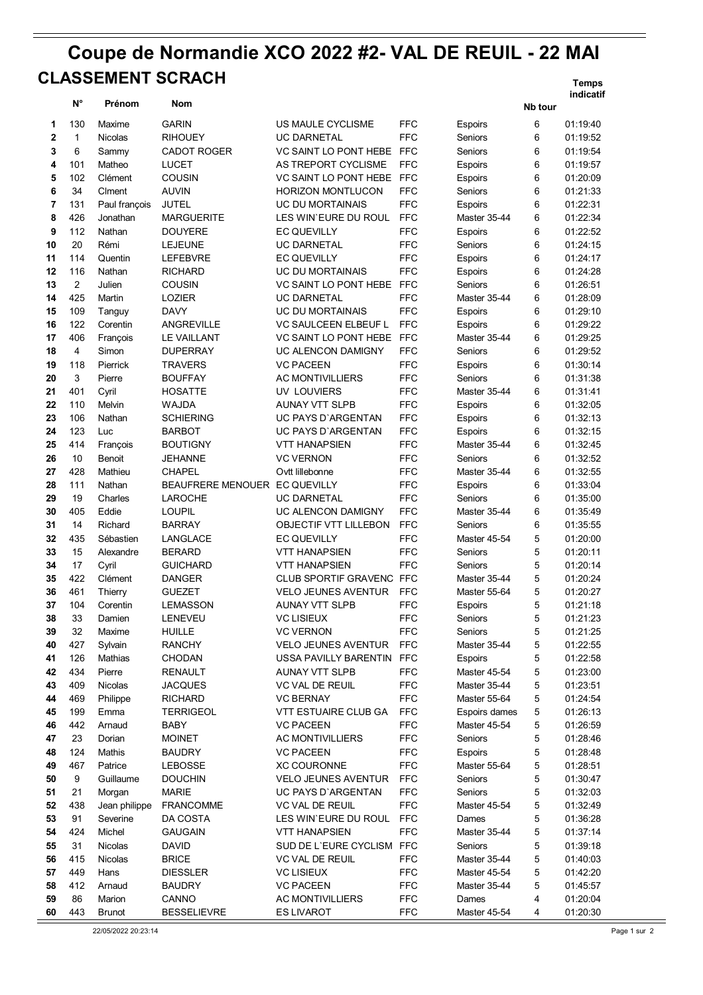## **Coupe de Normandie XCO 2022 #2- VAL DE REUIL - 22 MAI Temps CLASSEMENT SCRACH**

|                |                         |                |                               |                            |            |                |         | indicatif |
|----------------|-------------------------|----------------|-------------------------------|----------------------------|------------|----------------|---------|-----------|
|                | $N^{\circ}$             | Prénom         | Nom                           |                            |            |                | Nb tour |           |
| 1              | 130                     | Maxime         | <b>GARIN</b>                  | US MAULE CYCLISME          | <b>FFC</b> | Espoirs        | 6       | 01:19:40  |
| $\overline{2}$ | $\mathbf{1}$            | <b>Nicolas</b> | RIHOUEY                       | <b>UC DARNETAL</b>         | <b>FFC</b> | Seniors        | 6       | 01:19:52  |
| 3              | 6                       | Sammy          | CADOT ROGER                   | VC SAINT LO PONT HEBE FFC  |            | Seniors        | 6       | 01:19:54  |
| 4              | 101                     | Matheo         | <b>LUCET</b>                  | AS TREPORT CYCLISME        | <b>FFC</b> | Espoirs        | 6       | 01:19:57  |
| 5              | 102                     | Clément        | COUSIN                        | VC SAINT LO PONT HEBE FFC  |            | Espoirs        | 6       | 01:20:09  |
| 6              | 34                      | Clment         | <b>AUVIN</b>                  | <b>HORIZON MONTLUCON</b>   | <b>FFC</b> | Seniors        | 6       | 01:21:33  |
|                |                         |                |                               |                            |            |                |         |           |
| 7              | 131                     | Paul françois  | <b>JUTEL</b>                  | UC DU MORTAINAIS           | <b>FFC</b> | Espoirs        | 6       | 01:22:31  |
| 8              | 426                     | Jonathan       | <b>MARGUERITE</b>             | LES WIN'EURE DU ROUL       | <b>FFC</b> | Master 35-44   | 6       | 01:22:34  |
| 9              | 112                     | Nathan         | <b>DOUYERE</b>                | <b>EC QUEVILLY</b>         | <b>FFC</b> | Espoirs        | 6       | 01:22:52  |
| 10             | 20                      | Rémi           | <b>LEJEUNE</b>                | <b>UC DARNETAL</b>         | <b>FFC</b> | Seniors        | 6       | 01:24:15  |
| 11             | 114                     | Quentin        | <b>LEFEBVRE</b>               | <b>EC QUEVILLY</b>         | <b>FFC</b> | <b>Espoirs</b> | 6       | 01:24:17  |
| 12             | 116                     | Nathan         | RICHARD                       | UC DU MORTAINAIS           | <b>FFC</b> | Espoirs        | 6       | 01:24:28  |
| 13             | $\overline{2}$          | Julien         | COUSIN                        | VC SAINT LO PONT HEBE FFC  |            | Seniors        | 6       | 01:26:51  |
| 14             | 425                     | Martin         | LOZIER                        | <b>UC DARNETAL</b>         | <b>FFC</b> | Master 35-44   | 6       | 01:28:09  |
| 15             | 109                     | Tanguy         | <b>DAVY</b>                   | UC DU MORTAINAIS           | <b>FFC</b> | Espoirs        | 6       | 01:29:10  |
| 16             | 122                     | Corentin       | ANGREVILLE                    | VC SAULCEEN ELBEUF L       | <b>FFC</b> | Espoirs        | 6       | 01:29:22  |
| 17             | 406                     | François       | LE VAILLANT                   | VC SAINT LO PONT HEBE FFC  |            | Master 35-44   | 6       | 01:29:25  |
| 18             | $\overline{\mathbf{4}}$ | Simon          | DUPERRAY                      | UC ALENCON DAMIGNY         | <b>FFC</b> | Seniors        | 6       | 01:29:52  |
| 19             | 118                     | Pierrick       | <b>TRAVERS</b>                | <b>VC PACEEN</b>           | <b>FFC</b> | Espoirs        | 6       | 01:30:14  |
| 20             | 3                       | Pierre         | <b>BOUFFAY</b>                | <b>AC MONTIVILLIERS</b>    | <b>FFC</b> | Seniors        | 6       | 01:31:38  |
| 21             | 401                     | Cyril          | <b>HOSATTE</b>                | UV LOUVIERS                | <b>FFC</b> | Master 35-44   | 6       | 01:31:41  |
| 22             | 110                     | Melvin         | WAJDA                         | AUNAY VTT SLPB             | <b>FFC</b> | Espoirs        | 6       | 01:32:05  |
| 23             | 106                     | Nathan         | SCHIERING                     | UC PAYS D'ARGENTAN         | <b>FFC</b> | <b>Espoirs</b> | 6       | 01:32:13  |
| 24             | 123                     | Luc            | BARBOT                        | UC PAYS D'ARGENTAN         | <b>FFC</b> | Espoirs        | 6       | 01:32:15  |
| 25             | 414                     | François       | <b>BOUTIGNY</b>               | <b>VTT HANAPSIEN</b>       | <b>FFC</b> | Master 35-44   | 6       | 01:32:45  |
| 26             | 10                      | Benoit         | JEHANNE                       | <b>VC VERNON</b>           | <b>FFC</b> | Seniors        | 6       | 01:32:52  |
| 27             | 428                     | Mathieu        | <b>CHAPEL</b>                 | Ovtt lillebonne            | <b>FFC</b> | Master 35-44   | 6       | 01:32:55  |
| 28             | 111                     | Nathan         | BEAUFRERE MENOUER EC QUEVILLY |                            | <b>FFC</b> | Espoirs        | 6       | 01:33:04  |
| 29             | 19                      | Charles        | <b>LAROCHE</b>                | <b>UC DARNETAL</b>         | <b>FFC</b> | Seniors        | 6       | 01:35:00  |
| 30             | 405                     | Eddie          | <b>LOUPIL</b>                 | UC ALENCON DAMIGNY         | <b>FFC</b> | Master 35-44   | 6       | 01:35:49  |
| 31             | 14                      | Richard        | <b>BARRAY</b>                 | OBJECTIF VTT LILLEBON      | <b>FFC</b> | Seniors        | 6       | 01:35:55  |
| 32             | 435                     | Sébastien      | LANGLACE                      | <b>EC QUEVILLY</b>         | <b>FFC</b> | Master 45-54   | 5       | 01:20:00  |
| 33             | 15                      | Alexandre      | <b>BERARD</b>                 | <b>VTT HANAPSIEN</b>       | <b>FFC</b> | Seniors        | 5       | 01:20:11  |
| 34             | 17                      | Cyril          | <b>GUICHARD</b>               | <b>VTT HANAPSIEN</b>       | <b>FFC</b> | Seniors        | 5       | 01:20:14  |
| 35             | 422                     | Clément        | <b>DANGER</b>                 | CLUB SPORTIF GRAVENC FFC   |            | Master 35-44   | 5       | 01:20:24  |
| 36             | 461                     | Thierry        | <b>GUEZET</b>                 | <b>VELO JEUNES AVENTUR</b> | <b>FFC</b> | Master 55-64   | 5       | 01:20:27  |
| 37             | 104                     | Corentin       | <b>LEMASSON</b>               | <b>AUNAY VTT SLPB</b>      | <b>FFC</b> | Espoirs        | 5       | 01:21:18  |
| 38             | 33                      | Damien         | LENEVEU                       | <b>VC LISIEUX</b>          | <b>FFC</b> | Seniors        | 5       | 01:21:23  |
| 39             | 32                      | Maxime         | <b>HUILLE</b>                 | <b>VC VERNON</b>           | <b>FFC</b> | Seniors        | 5       | 01:21:25  |
| 40             | 427                     | Sylvain        | <b>RANCHY</b>                 | <b>VELO JEUNES AVENTUR</b> | <b>FFC</b> | Master 35-44   | 5       | 01:22:55  |
| 41             | 126                     | Mathias        | <b>CHODAN</b>                 | USSA PAVILLY BARENTIN      | <b>FFC</b> | Espoirs        | 5       | 01:22:58  |
| 42             | 434                     | Pierre         | RENAULT                       | <b>AUNAY VTT SLPB</b>      | <b>FFC</b> | Master 45-54   | 5       | 01:23:00  |
| 43             | 409                     | <b>Nicolas</b> | <b>JACQUES</b>                | <b>VC VAL DE REUIL</b>     | <b>FFC</b> | Master 35-44   | 5       | 01:23:51  |
| 44             | 469                     | Philippe       | <b>RICHARD</b>                | <b>VC BERNAY</b>           | <b>FFC</b> | Master 55-64   | 5       | 01:24:54  |
| 45             | 199                     | Emma           | <b>TERRIGEOL</b>              | VTT ESTUAIRE CLUB GA       | <b>FFC</b> | Espoirs dames  | 5       | 01:26:13  |
| 46             | 442                     | Arnaud         | <b>BABY</b>                   | <b>VC PACEEN</b>           | <b>FFC</b> | Master 45-54   | 5       | 01:26:59  |
| 47             | 23                      | Dorian         | <b>MOINET</b>                 | <b>AC MONTIVILLIERS</b>    | <b>FFC</b> | Seniors        | 5       | 01:28:46  |
| 48             | 124                     | Mathis         | <b>BAUDRY</b>                 | <b>VC PACEEN</b>           | <b>FFC</b> | Espoirs        | 5       | 01:28:48  |
| 49             | 467                     | Patrice        | <b>LEBOSSE</b>                | <b>XC COURONNE</b>         | <b>FFC</b> | Master 55-64   | 5       | 01:28:51  |
| 50             | 9                       | Guillaume      | <b>DOUCHIN</b>                | <b>VELO JEUNES AVENTUR</b> | <b>FFC</b> | Seniors        | 5       | 01:30:47  |
| 51             | 21                      | Morgan         | <b>MARIE</b>                  | UC PAYS D'ARGENTAN         | <b>FFC</b> | Seniors        | 5       | 01:32:03  |
| 52             | 438                     | Jean philippe  | <b>FRANCOMME</b>              | <b>VC VAL DE REUIL</b>     | <b>FFC</b> | Master 45-54   | 5       | 01:32:49  |
| 53             | 91                      | Severine       | DA COSTA                      | LES WIN'EURE DU ROUL       | <b>FFC</b> | Dames          | 5       | 01:36:28  |
|                |                         |                |                               |                            |            |                |         |           |
| 54             | 424                     | Michel         | <b>GAUGAIN</b>                | VTT HANAPSIEN              | <b>FFC</b> | Master 35-44   | 5       | 01:37:14  |
| 55             | 31                      | Nicolas        | <b>DAVID</b>                  | SUD DE L'EURE CYCLISM FFC  |            | Seniors        | 5       | 01:39:18  |
| 56             | 415                     | Nicolas        | <b>BRICE</b>                  | VC VAL DE REUIL            | <b>FFC</b> | Master 35-44   | 5       | 01:40:03  |
| 57             | 449                     | Hans           | <b>DIESSLER</b>               | <b>VC LISIEUX</b>          | <b>FFC</b> | Master 45-54   | 5       | 01:42:20  |
| 58             | 412                     | Arnaud         | <b>BAUDRY</b>                 | <b>VC PACEEN</b>           | <b>FFC</b> | Master 35-44   | 5       | 01:45:57  |
| 59             | 86                      | Marion         | CANNO                         | AC MONTIVILLIERS           | <b>FFC</b> | Dames          | 4       | 01:20:04  |
| 60             | 443                     | <b>Brunot</b>  | <b>BESSELIEVRE</b>            | <b>ES LIVAROT</b>          | <b>FFC</b> | Master 45-54   | 4       | 01:20:30  |

22/05/2022 20:23:14 Page 1 sur 2